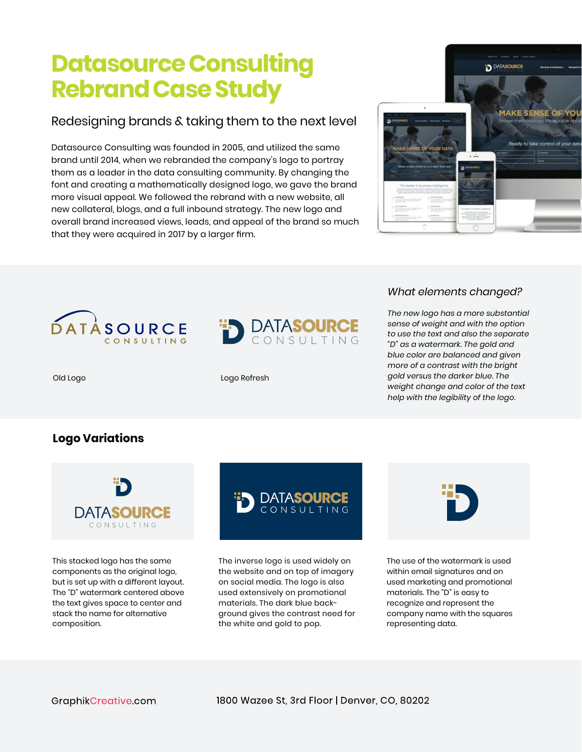# **Datasource Consulting Rebrand Case Study**

# Redesigning brands & taking them to the next level

Datasource Consulting was founded in 2005, and utilized the same brand until 2014, when we rebranded the company's logo to portray them as a leader in the data consulting community. By changing the font and creating a mathematically designed logo, we gave the brand more visual appeal. We followed the rebrand with a new website, all new collateral, blogs, and a full inbound strategy. The new logo and overall brand increased views, leads, and appeal of the brand so much that they were acquired in 2017 by a larger firm.







# *What elements changed?*

*The new logo has a more substantial sense of weight and with the option to use the text and also the separate "D" as a watermark. The gold and blue color are balanced and given more of a contrast with the bright gold versus the darker blue. The weight change and color of the text help with the legibility of the logo.*

#### Old Logo **Logo Refresh**

# **Logo Variations**



This stacked logo has the same components as the original logo, but is set up with a different layout. The "D" watermark centered above the text gives space to center and stack the name for alternative composition.



The inverse logo is used widely on the website and on top of imagery on social media. The logo is also used extensively on promotional materials. The dark blue background gives the contrast need for the white and gold to pop.



The use of the watermark is used within email signatures and on used marketing and promotional materials. The "D" is easy to recognize and represent the company name with the squares representing data.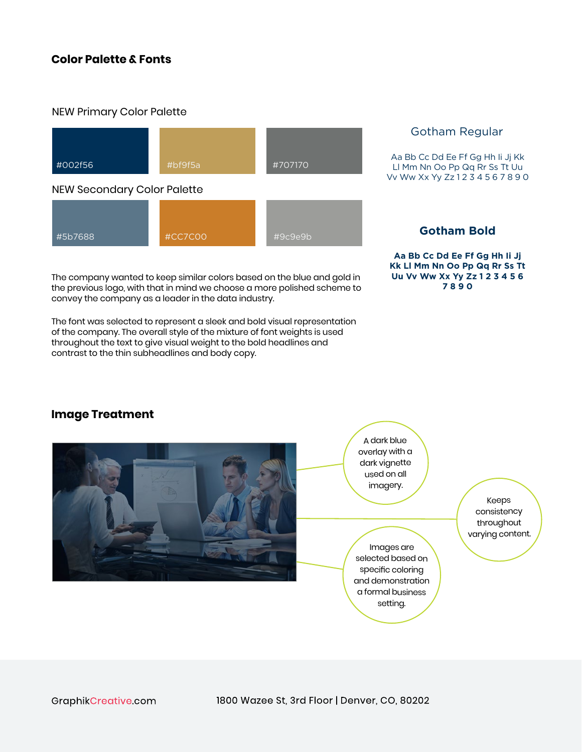# **Color Palette & Fonts**

#### NEW Primary Color Palette



The company wanted to keep similar colors based on the blue and gold in the previous logo, with that in mind we choose a more polished scheme to convey the company as a leader in the data industry.

The font was selected to represent a sleek and bold visual representation of the company. The overall style of the mixture of font weights is used throughout the text to give visual weight to the bold headlines and contrast to the thin subheadlines and body copy.

### Gotham Regular

Aa Bb Cc Dd Ee Ff Gg Hh Ii Jj Kk Ll Mm Nn Oo Pp Qq Rr Ss Tt Uu Vv Ww Xx Yy Zz 1 2 3 4 5 6 7 8 9 0

**Aa Bb Cc Dd Ee Ff Gg Hh Ii Jj Kk Ll Mm Nn Oo Pp Qq Rr Ss Tt Uu Vv Ww Xx Yy Zz 1 2 3 4 5 6 7 8 9 0** 

# **Image Treatment**



GraphikCreative.com

1800 Wazee St, 3rd Floor | Denver, CO, 80202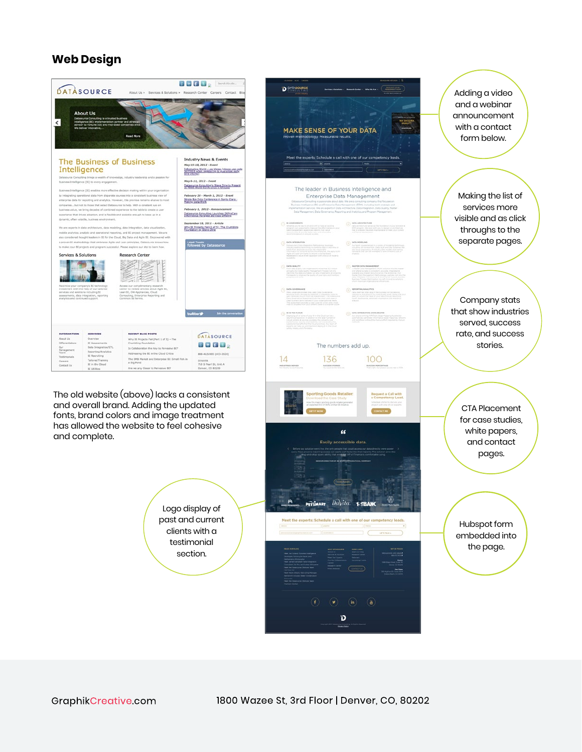# **Web Design**